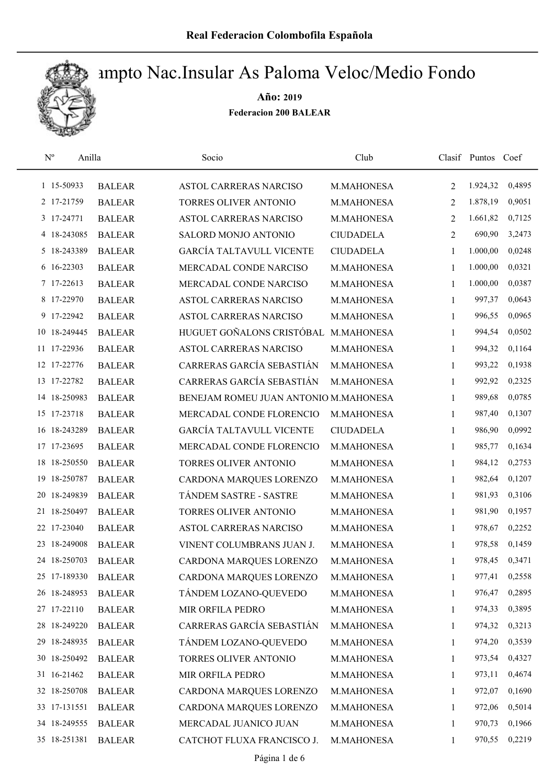

| $\rm N^o$<br>Anilla |               | Socio                                 | Club             |              | Clasif Puntos | Coef   |
|---------------------|---------------|---------------------------------------|------------------|--------------|---------------|--------|
| 1 15-50933          | <b>BALEAR</b> | ASTOL CARRERAS NARCISO                | M.MAHONESA       | 2            | 1.924,32      | 0,4895 |
| 2 17-21759          | <b>BALEAR</b> | TORRES OLIVER ANTONIO                 | M.MAHONESA       | 2            | 1.878,19      | 0,9051 |
| 3 17-24771          | <b>BALEAR</b> | <b>ASTOL CARRERAS NARCISO</b>         | M.MAHONESA       | 2            | 1.661,82      | 0,7125 |
| 4 18-243085         | <b>BALEAR</b> | SALORD MONJO ANTONIO                  | <b>CIUDADELA</b> | 2            | 690,90        | 3,2473 |
| 5 18-243389         | <b>BALEAR</b> | <b>GARCÍA TALTAVULL VICENTE</b>       | <b>CIUDADELA</b> | 1            | 1.000,00      | 0,0248 |
| 6 16-22303          | <b>BALEAR</b> | MERCADAL CONDE NARCISO                | M.MAHONESA       | 1            | 1.000,00      | 0,0321 |
| 7 17-22613          | <b>BALEAR</b> | MERCADAL CONDE NARCISO                | M.MAHONESA       | 1            | 1.000,00      | 0,0387 |
| 8 17-22970          | <b>BALEAR</b> | ASTOL CARRERAS NARCISO                | M.MAHONESA       | 1            | 997,37        | 0,0643 |
| 9 17-22942          | <b>BALEAR</b> | ASTOL CARRERAS NARCISO                | M.MAHONESA       | $\mathbf{1}$ | 996,55        | 0,0965 |
| 10 18-249445        | <b>BALEAR</b> | HUGUET GOÑALONS CRISTÓBAL             | M.MAHONESA       | 1            | 994,54        | 0,0502 |
| 11 17-22936         | <b>BALEAR</b> | ASTOL CARRERAS NARCISO                | M.MAHONESA       | 1            | 994,32        | 0,1164 |
| 12 17-22776         | <b>BALEAR</b> | CARRERAS GARCÍA SEBASTIÁN             | M.MAHONESA       | $\mathbf{1}$ | 993,22        | 0,1938 |
| 13 17-22782         | <b>BALEAR</b> | CARRERAS GARCÍA SEBASTIÁN             | M.MAHONESA       | 1            | 992,92        | 0,2325 |
| 14 18-250983        | <b>BALEAR</b> | BENEJAM ROMEU JUAN ANTONIO M.MAHONESA |                  | 1            | 989,68        | 0,0785 |
| 15 17-23718         | <b>BALEAR</b> | MERCADAL CONDE FLORENCIO              | M.MAHONESA       | $\mathbf{1}$ | 987,40        | 0,1307 |
| 16 18-243289        | <b>BALEAR</b> | <b>GARCÍA TALTAVULL VICENTE</b>       | <b>CIUDADELA</b> | 1            | 986,90        | 0,0992 |
| 17 17-23695         | <b>BALEAR</b> | MERCADAL CONDE FLORENCIO              | M.MAHONESA       | 1            | 985,77        | 0,1634 |
| 18-250550<br>18     | <b>BALEAR</b> | TORRES OLIVER ANTONIO                 | M.MAHONESA       | 1            | 984,12        | 0,2753 |
| 18-250787<br>19     | <b>BALEAR</b> | CARDONA MARQUES LORENZO               | M.MAHONESA       | $\mathbf{1}$ | 982,64        | 0,1207 |
| 18-249839<br>20     | <b>BALEAR</b> | TÁNDEM SASTRE - SASTRE                | M.MAHONESA       | $\mathbf{1}$ | 981,93        | 0,3106 |
| 21 18-250497        | <b>BALEAR</b> | TORRES OLIVER ANTONIO                 | M.MAHONESA       | 1            | 981,90        | 0,1957 |
| 22 17-23040         | <b>BALEAR</b> | <b>ASTOL CARRERAS NARCISO</b>         | M.MAHONESA       | 1            | 978,67        | 0,2252 |
| 18-249008<br>23     | <b>BALEAR</b> | VINENT COLUMBRANS JUAN J.             | M.MAHONESA       | 1            | 978,58        | 0,1459 |
| 24 18-250703        | <b>BALEAR</b> | CARDONA MARQUES LORENZO               | M.MAHONESA       | 1            | 978,45        | 0,3471 |
| 25 17-189330        | <b>BALEAR</b> | CARDONA MARQUES LORENZO               | M.MAHONESA       | 1            | 977,41        | 0,2558 |
| 26 18-248953        | <b>BALEAR</b> | TÁNDEM LOZANO-QUEVEDO                 | M.MAHONESA       | 1            | 976,47        | 0,2895 |
| 27 17-22110         | <b>BALEAR</b> | MIR ORFILA PEDRO                      | M.MAHONESA       | 1            | 974,33        | 0,3895 |
| 28 18-249220        | <b>BALEAR</b> | CARRERAS GARCÍA SEBASTIÁN             | M.MAHONESA       | 1            | 974,32        | 0,3213 |
| 29 18-248935        | <b>BALEAR</b> | TÁNDEM LOZANO-QUEVEDO                 | M.MAHONESA       | 1            | 974,20        | 0,3539 |
| 30 18-250492        | <b>BALEAR</b> | TORRES OLIVER ANTONIO                 | M.MAHONESA       | 1            | 973,54        | 0,4327 |
| 31 16-21462         | <b>BALEAR</b> | MIR ORFILA PEDRO                      | M.MAHONESA       | 1            | 973,11        | 0,4674 |
| 32 18-250708        | <b>BALEAR</b> | CARDONA MARQUES LORENZO               | M.MAHONESA       | 1            | 972,07        | 0,1690 |
| 33 17-131551        | <b>BALEAR</b> | CARDONA MARQUES LORENZO               | M.MAHONESA       | 1            | 972,06        | 0,5014 |
| 34 18-249555        | <b>BALEAR</b> | MERCADAL JUANICO JUAN                 | M.MAHONESA       | 1            | 970,73        | 0,1966 |
| 35 18-251381        | <b>BALEAR</b> | CATCHOT FLUXA FRANCISCO J.            | M.MAHONESA       | 1            | 970,55        | 0,2219 |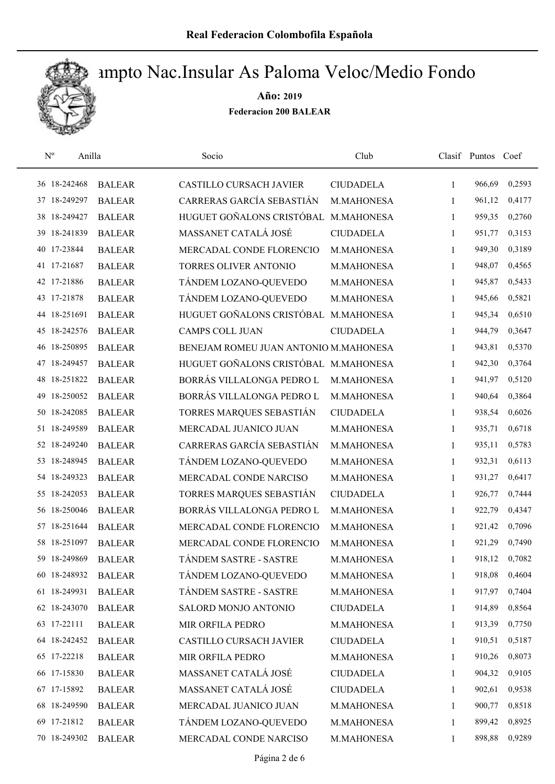

| $\mathbf{N}^{\mathrm{o}}$ | Anilla       |               | Socio                                 | Club              |              | Clasif Puntos Coef |        |
|---------------------------|--------------|---------------|---------------------------------------|-------------------|--------------|--------------------|--------|
|                           | 36 18-242468 | <b>BALEAR</b> | <b>CASTILLO CURSACH JAVIER</b>        | <b>CIUDADELA</b>  | $\mathbf{1}$ | 966,69             | 0,2593 |
|                           | 37 18-249297 | <b>BALEAR</b> | CARRERAS GARCÍA SEBASTIÁN             | M.MAHONESA        | 1            | 961,12             | 0,4177 |
|                           | 38 18-249427 | <b>BALEAR</b> | HUGUET GOÑALONS CRISTÓBAL             | M.MAHONESA        | $\mathbf{1}$ | 959,35             | 0,2760 |
|                           | 39 18-241839 | <b>BALEAR</b> | MASSANET CATALÁ JOSÉ                  | <b>CIUDADELA</b>  | $\mathbf{1}$ | 951,77             | 0,3153 |
|                           | 40 17-23844  | <b>BALEAR</b> | MERCADAL CONDE FLORENCIO              | M.MAHONESA        | $\mathbf{1}$ | 949,30             | 0,3189 |
|                           | 41 17-21687  | <b>BALEAR</b> | <b>TORRES OLIVER ANTONIO</b>          | M.MAHONESA        | $\mathbf{1}$ | 948,07             | 0,4565 |
|                           | 42 17-21886  | <b>BALEAR</b> | TÁNDEM LOZANO-QUEVEDO                 | M.MAHONESA        | $\mathbf{1}$ | 945,87             | 0,5433 |
|                           | 43 17-21878  | <b>BALEAR</b> | TÁNDEM LOZANO-QUEVEDO                 | M.MAHONESA        | $\mathbf{1}$ | 945,66             | 0,5821 |
|                           | 44 18-251691 | <b>BALEAR</b> | HUGUET GOÑALONS CRISTÓBAL M.MAHONESA  |                   | $\mathbf{1}$ | 945,34             | 0,6510 |
|                           | 45 18-242576 | <b>BALEAR</b> | <b>CAMPS COLL JUAN</b>                | <b>CIUDADELA</b>  | $\mathbf{1}$ | 944,79             | 0,3647 |
|                           | 46 18-250895 | <b>BALEAR</b> | BENEJAM ROMEU JUAN ANTONIO M.MAHONESA |                   | 1            | 943,81             | 0,5370 |
|                           | 47 18-249457 | <b>BALEAR</b> | HUGUET GOÑALONS CRISTÓBAL M.MAHONESA  |                   | $\mathbf{1}$ | 942,30             | 0,3764 |
|                           | 48 18-251822 | <b>BALEAR</b> | BORRÁS VILLALONGA PEDRO L             | M.MAHONESA        | 1            | 941,97             | 0,5120 |
|                           | 49 18-250052 | <b>BALEAR</b> | BORRÁS VILLALONGA PEDRO L             | M.MAHONESA        | 1            | 940,64             | 0,3864 |
|                           | 50 18-242085 | <b>BALEAR</b> | TORRES MARQUES SEBASTIÁN              | <b>CIUDADELA</b>  | $\mathbf{1}$ | 938,54             | 0,6026 |
|                           | 51 18-249589 | <b>BALEAR</b> | MERCADAL JUANICO JUAN                 | M.MAHONESA        | $\mathbf{1}$ | 935,71             | 0,6718 |
|                           | 52 18-249240 | <b>BALEAR</b> | CARRERAS GARCÍA SEBASTIÁN             | M.MAHONESA        | $\mathbf{1}$ | 935,11             | 0,5783 |
|                           | 53 18-248945 | <b>BALEAR</b> | TÁNDEM LOZANO-QUEVEDO                 | M.MAHONESA        | $\mathbf{1}$ | 932,31             | 0,6113 |
|                           | 54 18-249323 | <b>BALEAR</b> | MERCADAL CONDE NARCISO                | M.MAHONESA        | $\mathbf{1}$ | 931,27             | 0,6417 |
|                           | 55 18-242053 | <b>BALEAR</b> | TORRES MARQUES SEBASTIÁN              | <b>CIUDADELA</b>  | 1            | 926,77             | 0,7444 |
|                           | 56 18-250046 | <b>BALEAR</b> | BORRÁS VILLALONGA PEDRO L             | M.MAHONESA        | $\mathbf{1}$ | 922,79             | 0,4347 |
|                           | 57 18-251644 | <b>BALEAR</b> | MERCADAL CONDE FLORENCIO              | M.MAHONESA        | $\mathbf{1}$ | 921,42             | 0,7096 |
|                           | 58 18-251097 | <b>BALEAR</b> | MERCADAL CONDE FLORENCIO              | M.MAHONESA        | 1            | 921,29             | 0,7490 |
|                           | 59 18-249869 | <b>BALEAR</b> | TÁNDEM SASTRE - SASTRE                | M.MAHONESA        | 1            | 918,12             | 0,7082 |
|                           | 60 18-248932 | <b>BALEAR</b> | TÁNDEM LOZANO-QUEVEDO                 | M.MAHONESA        | 1            | 918,08             | 0,4604 |
|                           | 61 18-249931 | <b>BALEAR</b> | TÁNDEM SASTRE - SASTRE                | M.MAHONESA        | 1            | 917,97             | 0,7404 |
|                           | 62 18-243070 | <b>BALEAR</b> | SALORD MONJO ANTONIO                  | <b>CIUDADELA</b>  | 1            | 914,89             | 0,8564 |
|                           | 63 17-22111  | <b>BALEAR</b> | MIR ORFILA PEDRO                      | <b>M.MAHONESA</b> | 1            | 913,39             | 0,7750 |
|                           | 64 18-242452 | <b>BALEAR</b> | <b>CASTILLO CURSACH JAVIER</b>        | <b>CIUDADELA</b>  | 1            | 910,51             | 0,5187 |
|                           | 65 17-22218  | <b>BALEAR</b> | MIR ORFILA PEDRO                      | <b>M.MAHONESA</b> | 1            | 910,26             | 0,8073 |
|                           | 66 17-15830  | <b>BALEAR</b> | MASSANET CATALÁ JOSÉ                  | <b>CIUDADELA</b>  | 1            | 904,32             | 0,9105 |
|                           | 67 17-15892  | <b>BALEAR</b> | MASSANET CATALÁ JOSÉ                  | <b>CIUDADELA</b>  | 1            | 902,61             | 0,9538 |
|                           | 68 18-249590 | <b>BALEAR</b> | MERCADAL JUANICO JUAN                 | M.MAHONESA        | 1            | 900,77             | 0,8518 |
|                           | 69 17-21812  | <b>BALEAR</b> | TÁNDEM LOZANO-QUEVEDO                 | M.MAHONESA        | 1            | 899,42             | 0,8925 |
|                           | 70 18-249302 | <b>BALEAR</b> | MERCADAL CONDE NARCISO                | M.MAHONESA        | $\mathbf{1}$ | 898,88             | 0,9289 |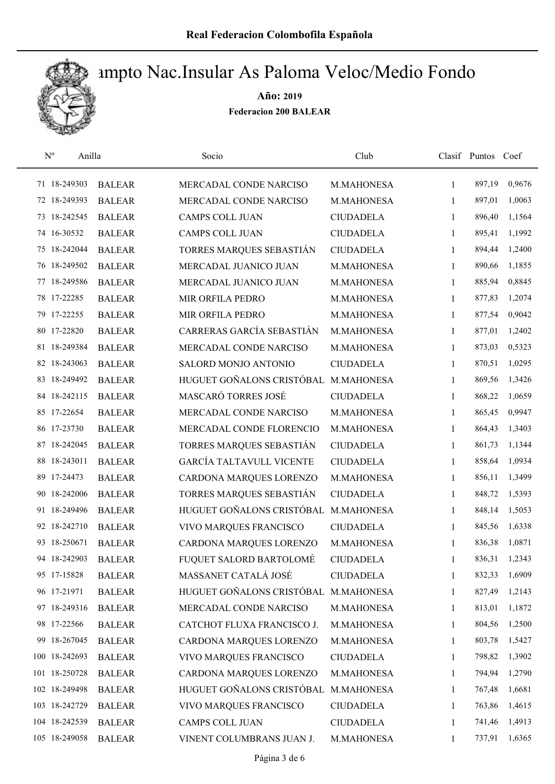

| $\mathbf{N}^{\text{o}}$<br>Anilla |               | Socio                           | Club             |              | Clasif Puntos Coef |        |
|-----------------------------------|---------------|---------------------------------|------------------|--------------|--------------------|--------|
| 71 18-249303                      | <b>BALEAR</b> | MERCADAL CONDE NARCISO          | M.MAHONESA       | $\mathbf{1}$ | 897,19             | 0,9676 |
| 72 18-249393                      | <b>BALEAR</b> | MERCADAL CONDE NARCISO          | M.MAHONESA       | 1            | 897,01             | 1,0063 |
| 73 18-242545                      | <b>BALEAR</b> | CAMPS COLL JUAN                 | <b>CIUDADELA</b> | 1            | 896,40             | 1,1564 |
| 74 16-30532                       | <b>BALEAR</b> | <b>CAMPS COLL JUAN</b>          | <b>CIUDADELA</b> | $\mathbf{1}$ | 895,41             | 1,1992 |
| 75 18-242044                      | <b>BALEAR</b> | TORRES MARQUES SEBASTIÁN        | <b>CIUDADELA</b> | 1            | 894,44             | 1,2400 |
| 76 18-249502                      | <b>BALEAR</b> | MERCADAL JUANICO JUAN           | M.MAHONESA       | $\mathbf{1}$ | 890,66             | 1,1855 |
| 77 18-249586                      | <b>BALEAR</b> | MERCADAL JUANICO JUAN           | M.MAHONESA       | $\mathbf{1}$ | 885,94             | 0,8845 |
| 78 17-22285                       | <b>BALEAR</b> | MIR ORFILA PEDRO                | M.MAHONESA       | $\mathbf{1}$ | 877,83             | 1,2074 |
| 79 17-22255                       | <b>BALEAR</b> | MIR ORFILA PEDRO                | M.MAHONESA       | 1            | 877,54             | 0,9042 |
| 80 17-22820                       | <b>BALEAR</b> | CARRERAS GARCÍA SEBASTIÁN       | M.MAHONESA       | 1            | 877,01             | 1,2402 |
| 81 18-249384                      | <b>BALEAR</b> | MERCADAL CONDE NARCISO          | M.MAHONESA       | 1            | 873,03             | 0,5323 |
| 82 18-243063                      | <b>BALEAR</b> | SALORD MONJO ANTONIO            | <b>CIUDADELA</b> | 1            | 870,51             | 1,0295 |
| 83 18-249492                      | <b>BALEAR</b> | HUGUET GOÑALONS CRISTÓBAL       | M.MAHONESA       | 1            | 869,56             | 1,3426 |
| 84 18-242115                      | <b>BALEAR</b> | MASCARÓ TORRES JOSÉ             | <b>CIUDADELA</b> | 1            | 868,22             | 1,0659 |
| 85 17-22654                       | <b>BALEAR</b> | MERCADAL CONDE NARCISO          | M.MAHONESA       | 1            | 865,45             | 0,9947 |
| 86 17-23730                       | <b>BALEAR</b> | MERCADAL CONDE FLORENCIO        | M.MAHONESA       | 1            | 864,43             | 1,3403 |
| 87 18-242045                      | <b>BALEAR</b> | TORRES MARQUES SEBASTIÁN        | <b>CIUDADELA</b> | 1            | 861,73             | 1,1344 |
| 88 18-243011                      | <b>BALEAR</b> | <b>GARCÍA TALTAVULL VICENTE</b> | <b>CIUDADELA</b> | $\mathbf{1}$ | 858,64             | 1,0934 |
| 89 17-24473                       | <b>BALEAR</b> | CARDONA MARQUES LORENZO         | M.MAHONESA       | $\mathbf{1}$ | 856,11             | 1,3499 |
| 90 18-242006                      | <b>BALEAR</b> | TORRES MARQUES SEBASTIÁN        | <b>CIUDADELA</b> | 1            | 848,72             | 1,5393 |
| 91 18-249496                      | <b>BALEAR</b> | HUGUET GOÑALONS CRISTÓBAL       | M.MAHONESA       | $\mathbf{1}$ | 848,14             | 1,5053 |
| 92 18-242710                      | <b>BALEAR</b> | VIVO MARQUES FRANCISCO          | <b>CIUDADELA</b> | 1            | 845,56             | 1,6338 |
| 93 18-250671                      | <b>BALEAR</b> | CARDONA MARQUES LORENZO         | M.MAHONESA       | 1            | 836,38             | 1,0871 |
| 94 18-242903                      | <b>BALEAR</b> | FUQUET SALORD BARTOLOMÉ         | <b>CIUDADELA</b> | 1            | 836,31             | 1,2343 |
| 95 17-15828                       | <b>BALEAR</b> | MASSANET CATALÁ JOSÉ            | <b>CIUDADELA</b> | 1            | 832,33             | 1,6909 |
| 96 17-21971                       | <b>BALEAR</b> | HUGUET GOÑALONS CRISTÓBAL       | M.MAHONESA       | 1            | 827,49             | 1,2143 |
| 97 18-249316                      | <b>BALEAR</b> | MERCADAL CONDE NARCISO          | M.MAHONESA       | 1            | 813,01             | 1,1872 |
| 98 17-22566                       | <b>BALEAR</b> | CATCHOT FLUXA FRANCISCO J.      | M.MAHONESA       | 1            | 804,56             | 1,2500 |
| 99 18-267045                      | <b>BALEAR</b> | CARDONA MARQUES LORENZO         | M.MAHONESA       | 1            | 803,78             | 1,5427 |
| 100 18-242693                     | <b>BALEAR</b> | VIVO MARQUES FRANCISCO          | <b>CIUDADELA</b> | 1            | 798,82             | 1,3902 |
| 101 18-250728                     | <b>BALEAR</b> | CARDONA MARQUES LORENZO         | M.MAHONESA       | 1            | 794,94             | 1,2790 |
| 102 18-249498                     | <b>BALEAR</b> | HUGUET GOÑALONS CRISTÓBAL       | M.MAHONESA       | 1            | 767,48             | 1,6681 |
| 103 18-242729                     | <b>BALEAR</b> | VIVO MARQUES FRANCISCO          | <b>CIUDADELA</b> | 1            | 763,86             | 1,4615 |
| 104 18-242539                     | <b>BALEAR</b> | CAMPS COLL JUAN                 | <b>CIUDADELA</b> | 1            | 741,46             | 1,4913 |
| 105 18-249058                     | <b>BALEAR</b> | VINENT COLUMBRANS JUAN J.       | M.MAHONESA       | 1            | 737,91             | 1,6365 |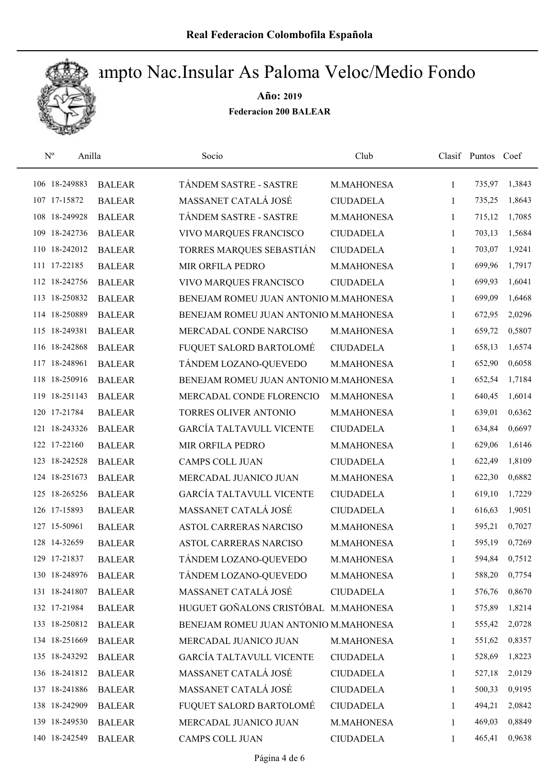

| $\mathbf{N}^{\mathrm{o}}$ | Anilla        | Socio                                 | Club             |              | Clasif Puntos Coef |        |
|---------------------------|---------------|---------------------------------------|------------------|--------------|--------------------|--------|
| 106 18-249883             | <b>BALEAR</b> | TÁNDEM SASTRE - SASTRE                | M.MAHONESA       | $\mathbf{1}$ | 735,97             | 1,3843 |
| 107 17-15872              | <b>BALEAR</b> | MASSANET CATALÁ JOSÉ                  | <b>CIUDADELA</b> | 1            | 735,25             | 1,8643 |
| 108 18-249928             | <b>BALEAR</b> | TÁNDEM SASTRE - SASTRE                | M.MAHONESA       | 1            | 715,12             | 1,7085 |
| 109 18-242736             | <b>BALEAR</b> | VIVO MARQUES FRANCISCO                | <b>CIUDADELA</b> | 1            | 703,13             | 1,5684 |
| 110 18-242012             | <b>BALEAR</b> | TORRES MARQUES SEBASTIÁN              | <b>CIUDADELA</b> | 1            | 703,07             | 1,9241 |
| 111 17-22185              | <b>BALEAR</b> | MIR ORFILA PEDRO                      | M.MAHONESA       | $\mathbf{1}$ | 699,96             | 1,7917 |
| 112 18-242756             | <b>BALEAR</b> | VIVO MARQUES FRANCISCO                | <b>CIUDADELA</b> | $\mathbf{1}$ | 699,93             | 1,6041 |
| 113 18-250832             | <b>BALEAR</b> | BENEJAM ROMEU JUAN ANTONIO M.MAHONESA |                  | $\mathbf{1}$ | 699,09             | 1,6468 |
| 114 18-250889             | <b>BALEAR</b> | BENEJAM ROMEU JUAN ANTONIO M.MAHONESA |                  | $\mathbf{1}$ | 672,95             | 2,0296 |
| 115 18-249381             | <b>BALEAR</b> | MERCADAL CONDE NARCISO                | M.MAHONESA       | $\mathbf{1}$ | 659,72             | 0,5807 |
| 116 18-242868             | <b>BALEAR</b> | FUQUET SALORD BARTOLOMÉ               | <b>CIUDADELA</b> | 1            | 658,13             | 1,6574 |
| 117 18-248961             | <b>BALEAR</b> | TÁNDEM LOZANO-QUEVEDO                 | M.MAHONESA       | 1            | 652,90             | 0,6058 |
| 118 18-250916             | <b>BALEAR</b> | BENEJAM ROMEU JUAN ANTONIO M.MAHONESA |                  | $\mathbf{1}$ | 652,54             | 1,7184 |
| 119 18-251143             | <b>BALEAR</b> | MERCADAL CONDE FLORENCIO              | M.MAHONESA       | 1            | 640,45             | 1,6014 |
| 120 17-21784              | <b>BALEAR</b> | TORRES OLIVER ANTONIO                 | M.MAHONESA       | 1            | 639,01             | 0,6362 |
| 121 18-243326             | <b>BALEAR</b> | <b>GARCÍA TALTAVULL VICENTE</b>       | <b>CIUDADELA</b> | 1            | 634,84             | 0,6697 |
| 122 17-22160              | <b>BALEAR</b> | MIR ORFILA PEDRO                      | M.MAHONESA       | $\mathbf{1}$ | 629,06             | 1,6146 |
| 123 18-242528             | <b>BALEAR</b> | <b>CAMPS COLL JUAN</b>                | <b>CIUDADELA</b> | $\mathbf{1}$ | 622,49             | 1,8109 |
| 124 18-251673             | <b>BALEAR</b> | MERCADAL JUANICO JUAN                 | M.MAHONESA       | $\mathbf{1}$ | 622,30             | 0,6882 |
| 125 18-265256             | <b>BALEAR</b> | <b>GARCÍA TALTAVULL VICENTE</b>       | <b>CIUDADELA</b> | $\mathbf{1}$ | 619,10             | 1,7229 |
| 126 17-15893              | <b>BALEAR</b> | MASSANET CATALÁ JOSÉ                  | <b>CIUDADELA</b> | 1            | 616,63             | 1,9051 |
| 127 15-50961              | <b>BALEAR</b> | ASTOL CARRERAS NARCISO                | M.MAHONESA       | 1            | 595,21             | 0,7027 |
| 128 14-32659              | <b>BALEAR</b> | <b>ASTOL CARRERAS NARCISO</b>         | M.MAHONESA       | 1            | 595,19             | 0,7269 |
| 129 17-21837              | <b>BALEAR</b> | TÁNDEM LOZANO-QUEVEDO                 | M.MAHONESA       | 1            | 594,84             | 0,7512 |
| 130 18-248976             | <b>BALEAR</b> | TÁNDEM LOZANO-QUEVEDO                 | M.MAHONESA       | $\mathbf{1}$ | 588,20             | 0,7754 |
| 131 18-241807             | <b>BALEAR</b> | MASSANET CATALÁ JOSÉ                  | <b>CIUDADELA</b> | $\mathbf{1}$ | 576,76             | 0,8670 |
| 132 17-21984              | <b>BALEAR</b> | HUGUET GOÑALONS CRISTÓBAL M.MAHONESA  |                  | 1            | 575,89             | 1,8214 |
| 133 18-250812             | <b>BALEAR</b> | BENEJAM ROMEU JUAN ANTONIO M.MAHONESA |                  | 1            | 555,42             | 2,0728 |
| 134 18-251669             | <b>BALEAR</b> | MERCADAL JUANICO JUAN                 | M.MAHONESA       | 1            | 551,62             | 0,8357 |
| 135 18-243292             | <b>BALEAR</b> | <b>GARCÍA TALTAVULL VICENTE</b>       | <b>CIUDADELA</b> | 1            | 528,69             | 1,8223 |
| 136 18-241812             | <b>BALEAR</b> | MASSANET CATALÁ JOSÉ                  | <b>CIUDADELA</b> | $\mathbf{1}$ | 527,18             | 2,0129 |
| 137 18-241886             | <b>BALEAR</b> | MASSANET CATALÁ JOSÉ                  | <b>CIUDADELA</b> | 1            | 500,33             | 0,9195 |
| 138 18-242909             | <b>BALEAR</b> | FUQUET SALORD BARTOLOMÉ               | <b>CIUDADELA</b> | 1            | 494,21             | 2,0842 |
| 139 18-249530             | <b>BALEAR</b> | MERCADAL JUANICO JUAN                 | M.MAHONESA       | 1            | 469,03             | 0,8849 |
| 140 18-242549             | <b>BALEAR</b> | CAMPS COLL JUAN                       | <b>CIUDADELA</b> | $\mathbf{1}$ | 465,41             | 0,9638 |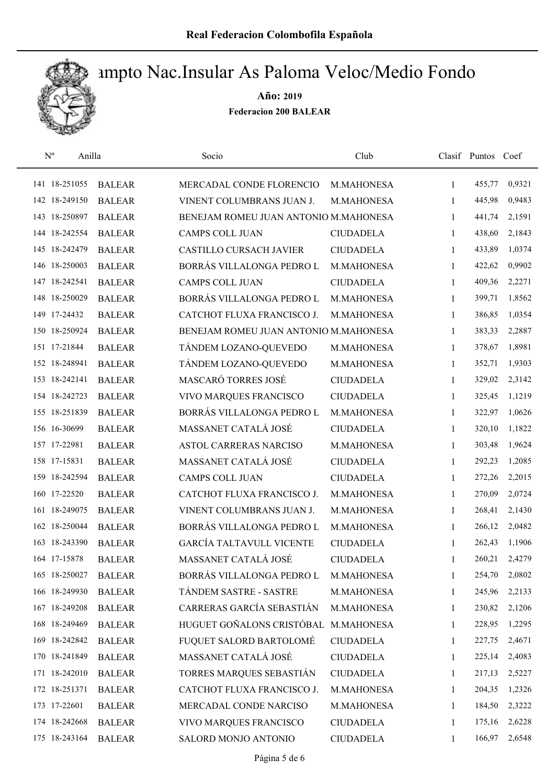

| $\mathbf{N}^{\text{o}}$ | Anilla        | Socio                                 | Club             |              | Clasif Puntos Coef |        |
|-------------------------|---------------|---------------------------------------|------------------|--------------|--------------------|--------|
| 141 18-251055           | <b>BALEAR</b> | MERCADAL CONDE FLORENCIO              | M.MAHONESA       | 1            | 455,77             | 0,9321 |
| 142 18-249150           | <b>BALEAR</b> | VINENT COLUMBRANS JUAN J.             | M.MAHONESA       | 1            | 445,98             | 0,9483 |
| 143 18-250897           | <b>BALEAR</b> | BENEJAM ROMEU JUAN ANTONIO M.MAHONESA |                  | $\mathbf{1}$ | 441,74             | 2,1591 |
| 144 18-242554           | <b>BALEAR</b> | <b>CAMPS COLL JUAN</b>                | <b>CIUDADELA</b> | 1            | 438,60             | 2,1843 |
| 145 18-242479           | <b>BALEAR</b> | <b>CASTILLO CURSACH JAVIER</b>        | <b>CIUDADELA</b> | 1            | 433,89             | 1,0374 |
| 146 18-250003           | <b>BALEAR</b> | BORRÁS VILLALONGA PEDRO L             | M.MAHONESA       | 1            | 422,62             | 0,9902 |
| 147 18-242541           | <b>BALEAR</b> | <b>CAMPS COLL JUAN</b>                | <b>CIUDADELA</b> | $\mathbf{1}$ | 409,36             | 2,2271 |
| 148 18-250029           | <b>BALEAR</b> | BORRÁS VILLALONGA PEDRO L             | M.MAHONESA       | $\mathbf{1}$ | 399,71             | 1,8562 |
| 149 17-24432            | <b>BALEAR</b> | CATCHOT FLUXA FRANCISCO J.            | M.MAHONESA       | 1            | 386,85             | 1,0354 |
| 150 18-250924           | <b>BALEAR</b> | BENEJAM ROMEU JUAN ANTONIO M.MAHONESA |                  | 1            | 383,33             | 2,2887 |
| 151 17-21844            | <b>BALEAR</b> | TÁNDEM LOZANO-QUEVEDO                 | M.MAHONESA       | 1            | 378,67             | 1,8981 |
| 152 18-248941           | <b>BALEAR</b> | TÁNDEM LOZANO-QUEVEDO                 | M.MAHONESA       | $\mathbf{1}$ | 352,71             | 1,9303 |
| 153 18-242141           | <b>BALEAR</b> | MASCARÓ TORRES JOSÉ                   | <b>CIUDADELA</b> | 1            | 329,02             | 2,3142 |
| 154 18-242723           | <b>BALEAR</b> | VIVO MARQUES FRANCISCO                | <b>CIUDADELA</b> | 1            | 325,45             | 1,1219 |
| 155 18-251839           | <b>BALEAR</b> | BORRÁS VILLALONGA PEDRO L             | M.MAHONESA       | $\mathbf{1}$ | 322,97             | 1,0626 |
| 156 16-30699            | <b>BALEAR</b> | MASSANET CATALÁ JOSÉ                  | <b>CIUDADELA</b> | 1            | 320,10             | 1,1822 |
| 157 17-22981            | <b>BALEAR</b> | ASTOL CARRERAS NARCISO                | M.MAHONESA       | 1            | 303,48             | 1,9624 |
| 158 17-15831            | <b>BALEAR</b> | MASSANET CATALÁ JOSÉ                  | <b>CIUDADELA</b> | $\mathbf{1}$ | 292,23             | 1,2085 |
| 159 18-242594           | <b>BALEAR</b> | <b>CAMPS COLL JUAN</b>                | <b>CIUDADELA</b> | 1            | 272,26             | 2,2015 |
| 160 17-22520            | <b>BALEAR</b> | CATCHOT FLUXA FRANCISCO J.            | M.MAHONESA       | $\mathbf{1}$ | 270,09             | 2,0724 |
| 161 18-249075           | <b>BALEAR</b> | VINENT COLUMBRANS JUAN J.             | M.MAHONESA       | $\mathbf{1}$ | 268,41             | 2,1430 |
| 162 18-250044           | <b>BALEAR</b> | BORRÁS VILLALONGA PEDRO L             | M.MAHONESA       | 1            | 266,12             | 2,0482 |
| 163 18-243390           | <b>BALEAR</b> | <b>GARCÍA TALTAVULL VICENTE</b>       | <b>CIUDADELA</b> | 1            | 262,43             | 1,1906 |
| 164 17-15878            | <b>BALEAR</b> | MASSANET CATALÁ JOSÉ                  | <b>CIUDADELA</b> | 1            | 260,21             | 2,4279 |
| 165 18-250027           | <b>BALEAR</b> | BORRÁS VILLALONGA PEDRO L             | M.MAHONESA       | 1            | 254,70             | 2,0802 |
| 166 18-249930           | <b>BALEAR</b> | TÁNDEM SASTRE - SASTRE                | M.MAHONESA       | 1            | 245,96             | 2,2133 |
| 167 18-249208           | <b>BALEAR</b> | CARRERAS GARCÍA SEBASTIÁN             | M.MAHONESA       | 1            | 230,82             | 2,1206 |
| 168 18-249469           | <b>BALEAR</b> | HUGUET GOÑALONS CRISTÓBAL M.MAHONESA  |                  | 1            | 228,95             | 1,2295 |
| 169 18-242842           | <b>BALEAR</b> | FUQUET SALORD BARTOLOMÉ               | <b>CIUDADELA</b> | 1            | 227,75             | 2,4671 |
| 170 18-241849           | <b>BALEAR</b> | MASSANET CATALÁ JOSÉ                  | <b>CIUDADELA</b> | 1            | 225,14             | 2,4083 |
| 171 18-242010           | <b>BALEAR</b> | TORRES MARQUES SEBASTIÁN              | <b>CIUDADELA</b> | 1            | 217,13             | 2,5227 |
| 172 18-251371           | <b>BALEAR</b> | CATCHOT FLUXA FRANCISCO J.            | M.MAHONESA       | 1            | 204,35             | 1,2326 |
| 173 17-22601            | <b>BALEAR</b> | MERCADAL CONDE NARCISO                | M.MAHONESA       | 1            | 184,50             | 2,3222 |
| 174 18-242668           | <b>BALEAR</b> | VIVO MARQUES FRANCISCO                | <b>CIUDADELA</b> | 1            | 175,16             | 2,6228 |
| 175 18-243164           | <b>BALEAR</b> | SALORD MONJO ANTONIO                  | <b>CIUDADELA</b> | 1            | 166,97             | 2,6548 |